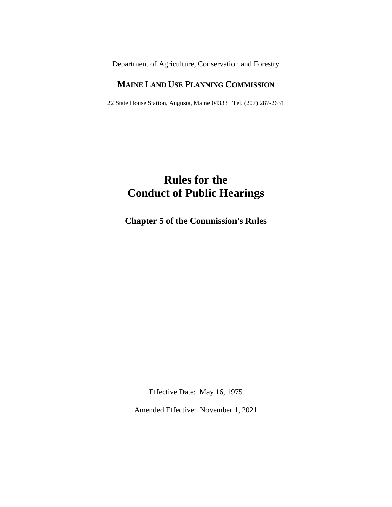Department of Agriculture, Conservation and Forestry

# **MAINE LAND USE PLANNING COMMISSION**

22 State House Station, Augusta, Maine 04333 Tel. (207) 287-2631

# **Rules for the Conduct of Public Hearings**

**Chapter 5 of the Commission's Rules**

Effective Date: May 16, 1975

Amended Effective: November 1, 2021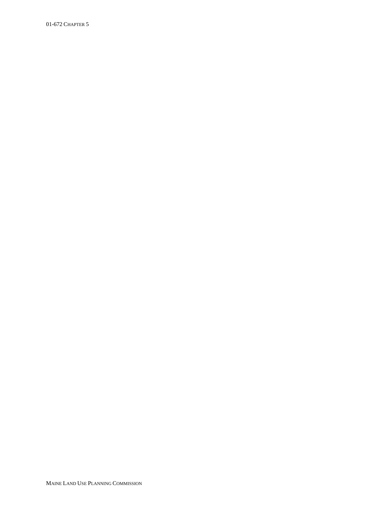01-672 CHAPTER 5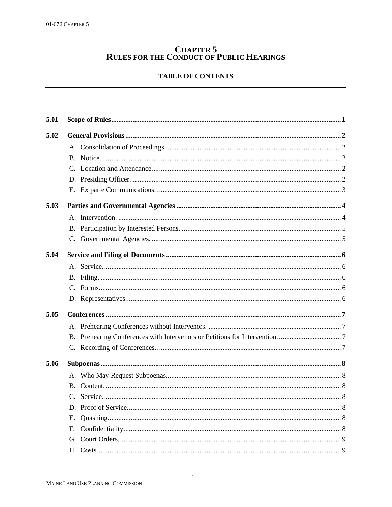# **CHAPTER 5<br>RULES FOR THE CONDUCT OF PUBLIC HEARINGS**

#### **TABLE OF CONTENTS**

| 5.01 |    |  |  |  |  |
|------|----|--|--|--|--|
| 5.02 |    |  |  |  |  |
|      |    |  |  |  |  |
|      |    |  |  |  |  |
|      |    |  |  |  |  |
|      |    |  |  |  |  |
|      |    |  |  |  |  |
| 5.03 |    |  |  |  |  |
|      |    |  |  |  |  |
|      |    |  |  |  |  |
|      |    |  |  |  |  |
| 5.04 |    |  |  |  |  |
|      |    |  |  |  |  |
|      |    |  |  |  |  |
|      |    |  |  |  |  |
|      |    |  |  |  |  |
| 5.05 |    |  |  |  |  |
|      |    |  |  |  |  |
|      |    |  |  |  |  |
|      |    |  |  |  |  |
| 5.06 |    |  |  |  |  |
|      |    |  |  |  |  |
|      |    |  |  |  |  |
|      |    |  |  |  |  |
|      |    |  |  |  |  |
|      | Е. |  |  |  |  |
|      | F. |  |  |  |  |
|      |    |  |  |  |  |
|      |    |  |  |  |  |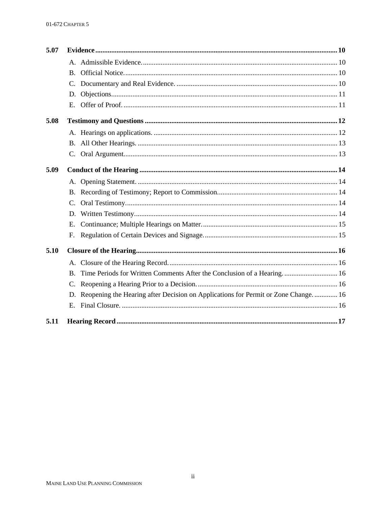| 5.07 |                |                                                                                      |  |  |
|------|----------------|--------------------------------------------------------------------------------------|--|--|
|      |                |                                                                                      |  |  |
|      | B.             |                                                                                      |  |  |
|      |                |                                                                                      |  |  |
|      | D.             |                                                                                      |  |  |
|      | $E_{\rm{eff}}$ |                                                                                      |  |  |
| 5.08 |                |                                                                                      |  |  |
|      |                |                                                                                      |  |  |
|      |                |                                                                                      |  |  |
|      |                |                                                                                      |  |  |
| 5.09 |                |                                                                                      |  |  |
|      |                |                                                                                      |  |  |
|      |                |                                                                                      |  |  |
|      | C.             |                                                                                      |  |  |
|      | D.             |                                                                                      |  |  |
|      | E.             |                                                                                      |  |  |
|      | F.             |                                                                                      |  |  |
| 5.10 |                |                                                                                      |  |  |
|      |                |                                                                                      |  |  |
|      | B.             | Time Periods for Written Comments After the Conclusion of a Hearing 16               |  |  |
|      | C.             |                                                                                      |  |  |
|      |                | D. Reopening the Hearing after Decision on Applications for Permit or Zone Change 16 |  |  |
|      | Е.             |                                                                                      |  |  |
| 5.11 |                |                                                                                      |  |  |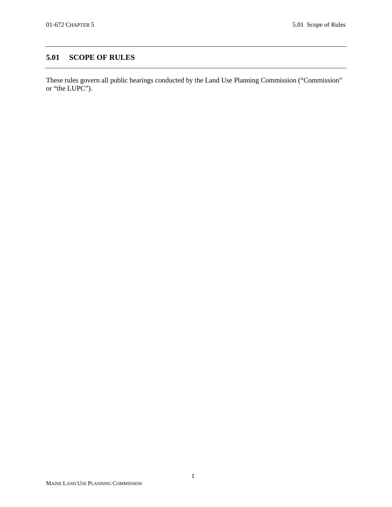# <span id="page-4-0"></span>**5.01 SCOPE OF RULES**

These rules govern all public hearings conducted by the Land Use Planning Commission ("Commission" or "the LUPC").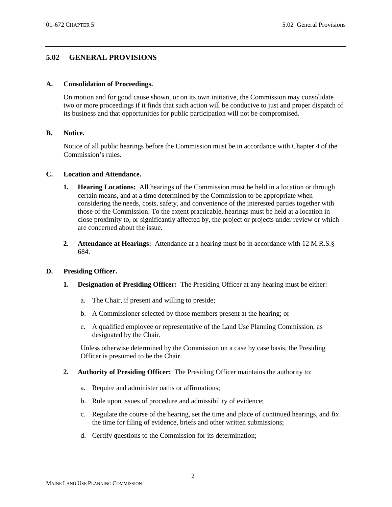#### <span id="page-5-0"></span>**5.02 GENERAL PROVISIONS**

#### <span id="page-5-1"></span>**A. Consolidation of Proceedings.**

On motion and for good cause shown, or on its own initiative, the Commission may consolidate two or more proceedings if it finds that such action will be conducive to just and proper dispatch of its business and that opportunities for public participation will not be compromised.

#### <span id="page-5-2"></span>**B. Notice.**

Notice of all public hearings before the Commission must be in accordance with Chapter 4 of the Commission's rules.

#### <span id="page-5-3"></span>**C. Location and Attendance.**

- **1. Hearing Locations:** All hearings of the Commission must be held in a location or through certain means, and at a time determined by the Commission to be appropriate when considering the needs, costs, safety, and convenience of the interested parties together with those of the Commission. To the extent practicable, hearings must be held at a location in close proximity to, or significantly affected by, the project or projects under review or which are concerned about the issue.
- **2. Attendance at Hearings:** [Attendance at a hearing must be in accordance with 12 M.R.S.§](http://www.mainelegislature.org/legis/statutes/12/title12sec684.html)  684.

#### <span id="page-5-4"></span>**D. Presiding Officer.**

- **1. Designation of Presiding Officer:** The Presiding Officer at any hearing must be either:
	- a. The Chair, if present and willing to preside;
	- b. A Commissioner selected by those members present at the hearing; or
	- c. A qualified employee or representative of the Land Use Planning Commission, as designated by the Chair.

Unless otherwise determined by the Commission on a case by case basis, the Presiding Officer is presumed to be the Chair.

- **2. Authority of Presiding Officer:** The Presiding Officer maintains the authority to:
	- a. Require and administer oaths or affirmations;
	- b. Rule upon issues of procedure and admissibility of evidence;
	- c. Regulate the course of the hearing, set the time and place of continued hearings, and fix the time for filing of evidence, briefs and other written submissions;
	- d. Certify questions to the Commission for its determination;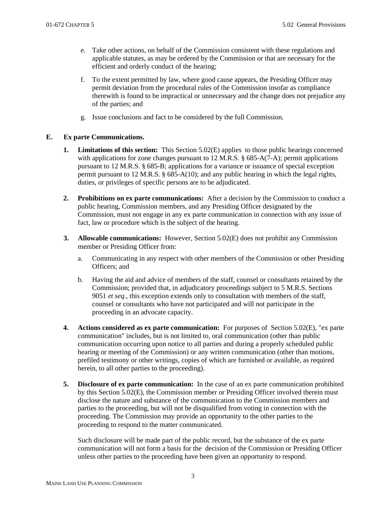- e. Take other actions, on behalf of the Commission consistent with these regulations and applicable statutes, as may be ordered by the Commission or that are necessary for the efficient and orderly conduct of the hearing;
- f. To the extent permitted by law, where good cause appears, the Presiding Officer may permit deviation from the procedural rules of the Commission insofar as compliance therewith is found to be impractical or unnecessary and the change does not prejudice any of the parties; and
- g. Issue conclusions and fact to be considered by the full Commission.

#### <span id="page-6-0"></span>**E. Ex parte Communications.**

- **1. Limitations of this section:** This Section 5.02(E) applies to those public hearings concerned with applications for zone changes pursuant to [12 M.R.S. § 685-A\(7-A\);](http://www.mainelegislature.org/legis/statutes/12/title12sec685-A.html) permit applications pursuant to [12 M.R.S. § 685-B;](http://www.mainelegislature.org/legis/statutes/12/title12sec685-B.html) applications for a variance or issuance of special exception permit pursuant to 12 M.R.S.  $\S$  685-A(10); and any public hearing in which the legal rights, duties, or privileges of specific persons are to be adjudicated.
- **2. Prohibitions on ex parte communications:** After a decision by the Commission to conduct a public hearing, Commission members, and any Presiding Officer designated by the Commission, must not engage in any ex parte communication in connection with any issue of fact, law or procedure which is the subject of the hearing.
- **3. Allowable communications:** However, Section 5.02(E) does not prohibit any Commission member or Presiding Officer from:
	- a. Communicating in any respect with other members of the Commission or other Presiding Officers; and
	- b. Having the aid and advice of members of the staff, counsel or consultants retained by the Commission; provided that, in adjudicatory proceedings subject to 5 M.R.S. Sections 9051 *et seq.*, this exception extends only to consultation with members of the staff, counsel or consultants who have not participated and will not participate in the proceeding in an advocate capacity.
- **4. Actions considered as ex parte communication:** For purposes of Section 5.02(E), "ex parte communication" includes, but is not limited to, oral communication (other than public communication occurring upon notice to all parties and during a properly scheduled public hearing or meeting of the Commission) or any written communication (other than motions, prefiled testimony or other writings, copies of which are furnished or available, as required herein, to all other parties to the proceeding).
- **5. Disclosure of ex parte communication:** In the case of an ex parte communication prohibited by this Section 5.02(E), the Commission member or Presiding Officer involved therein must disclose the nature and substance of the communication to the Commission members and parties to the proceeding, but will not be disqualified from voting in connection with the proceeding. The Commission may provide an opportunity to the other parties to the proceeding to respond to the matter communicated.

Such disclosure will be made part of the public record, but the substance of the ex parte communication will not form a basis for the decision of the Commission or Presiding Officer unless other parties to the proceeding have been given an opportunity to respond.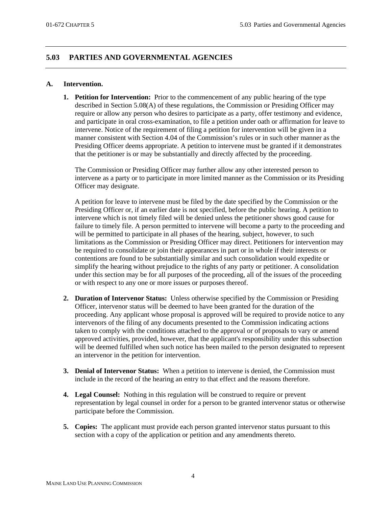#### <span id="page-7-2"></span><span id="page-7-0"></span>**5.03 PARTIES AND GOVERNMENTAL AGENCIES**

#### <span id="page-7-1"></span>**A. Intervention.**

**1. Petition for Intervention:** Prior to the commencement of any public hearing of the type described in Section 5.08(A) of these regulations, the Commission or Presiding Officer may require or allow any person who desires to participate as a party, offer testimony and evidence, and participate in oral cross-examination, to file a petition under oath or affirmation for leave to intervene. Notice of the requirement of filing a petition for intervention will be given in a manner consistent with Section 4.04 of the Commission's rules or in such other manner as the Presiding Officer deems appropriate. A petition to intervene must be granted if it demonstrates that the petitioner is or may be substantially and directly affected by the proceeding.

The Commission or Presiding Officer may further allow any other interested person to intervene as a party or to participate in more limited manner as the Commission or its Presiding Officer may designate.

A petition for leave to intervene must be filed by the date specified by the Commission or the Presiding Officer or, if an earlier date is not specified, before the public hearing. A petition to intervene which is not timely filed will be denied unless the petitioner shows good cause for failure to timely file. A person permitted to intervene will become a party to the proceeding and will be permitted to participate in all phases of the hearing, subject, however, to such limitations as the Commission or Presiding Officer may direct. Petitioners for intervention may be required to consolidate or join their appearances in part or in whole if their interests or contentions are found to be substantially similar and such consolidation would expedite or simplify the hearing without prejudice to the rights of any party or petitioner. A consolidation under this section may be for all purposes of the proceeding, all of the issues of the proceeding or with respect to any one or more issues or purposes thereof.

- **2. Duration of Intervenor Status:** Unless otherwise specified by the Commission or Presiding Officer, intervenor status will be deemed to have been granted for the duration of the proceeding. Any applicant whose proposal is approved will be required to provide notice to any intervenors of the filing of any documents presented to the Commission indicating actions taken to comply with the conditions attached to the approval or of proposals to vary or amend approved activities, provided, however, that the applicant's responsibility under this subsection will be deemed fulfilled when such notice has been mailed to the person designated to represent an intervenor in the petition for intervention.
- **3. Denial of Intervenor Status:** When a petition to intervene is denied, the Commission must include in the record of the hearing an entry to that effect and the reasons therefore.
- **4. Legal Counsel:** Nothing in this regulation will be construed to require or prevent representation by legal counsel in order for a person to be granted intervenor status or otherwise participate before the Commission.
- **5. Copies:** The applicant must provide each person granted intervenor status pursuant to this section with a copy of the application or petition and any amendments thereto.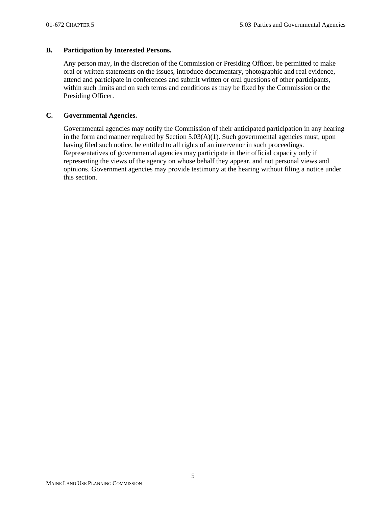#### <span id="page-8-0"></span>**B. Participation by Interested Persons.**

Any person may, in the discretion of the Commission or Presiding Officer, be permitted to make oral or written statements on the issues, introduce documentary, photographic and real evidence, attend and participate in conferences and submit written or oral questions of other participants, within such limits and on such terms and conditions as may be fixed by the Commission or the Presiding Officer.

#### <span id="page-8-1"></span>**C. Governmental Agencies.**

Governmental agencies may notify the Commission of their anticipated participation in any hearing in the form and manner required by [Section 5.03\(A\)\(1\).](#page-7-2) Such governmental agencies must, upon having filed such notice, be entitled to all rights of an intervenor in such proceedings. Representatives of governmental agencies may participate in their official capacity only if representing the views of the agency on whose behalf they appear, and not personal views and opinions. Government agencies may provide testimony at the hearing without filing a notice under this section.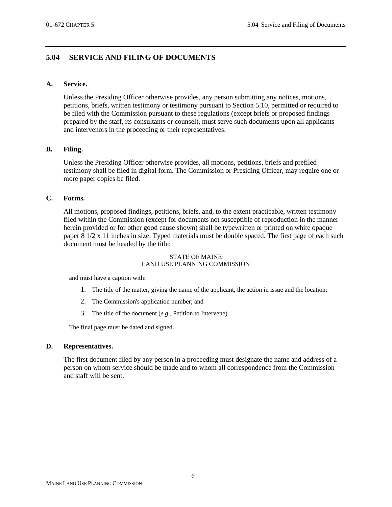#### <span id="page-9-0"></span>**5.04 SERVICE AND FILING OF DOCUMENTS**

#### <span id="page-9-1"></span>**A. Service.**

Unless the Presiding Officer otherwise provides, any person submitting any notices, motions, petitions, briefs, written testimony or testimony pursuant to Section 5.10, permitted or required to be filed with the Commission pursuant to these regulations (except briefs or proposed findings prepared by the staff, its consultants or counsel), must serve such documents upon all applicants and intervenors in the proceeding or their representatives.

#### <span id="page-9-2"></span>**B. Filing.**

Unless the Presiding Officer otherwise provides, all motions, petitions, briefs and prefiled testimony shall be filed in digital form. The Commission or Presiding Officer, may require one or more paper copies be filed.

#### <span id="page-9-3"></span>**C. Forms.**

All motions, proposed findings, petitions, briefs, and, to the extent practicable, written testimony filed within the Commission (except for documents not susceptible of reproduction in the manner herein provided or for other good cause shown) shall be typewritten or printed on white opaque paper 8 1/2 x 11 inches in size. Typed materials must be double spaced. The first page of each such document must be headed by the title:

#### STATE OF MAINE LAND USE PLANNING COMMISSION

and must have a caption with:

- 1. The title of the matter, giving the name of the applicant, the action in issue and the location;
- 2. The Commission's application number; and
- 3. The title of the document (*e.g.*, Petition to Intervene).

The final page must be dated and signed.

#### <span id="page-9-4"></span>**D. Representatives.**

The first document filed by any person in a proceeding must designate the name and address of a person on whom service should be made and to whom all correspondence from the Commission and staff will be sent.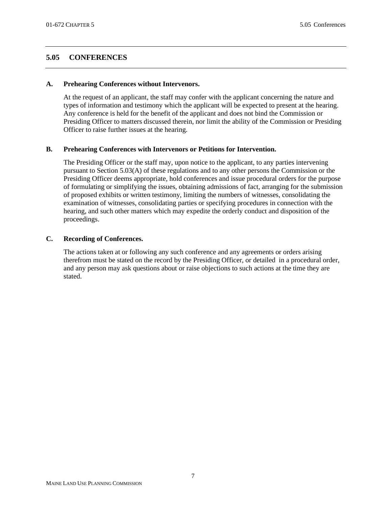#### <span id="page-10-0"></span>**5.05 CONFERENCES**

#### <span id="page-10-1"></span>**A. Prehearing Conferences without Intervenors.**

At the request of an applicant, the staff may confer with the applicant concerning the nature and types of information and testimony which the applicant will be expected to present at the hearing. Any conference is held for the benefit of the applicant and does not bind the Commission or Presiding Officer to matters discussed therein, nor limit the ability of the Commission or Presiding Officer to raise further issues at the hearing.

#### <span id="page-10-2"></span>**B. Prehearing Conferences with Intervenors or Petitions for Intervention.**

The Presiding Officer or the staff may, upon notice to the applicant, to any parties intervening pursuant to Section 5.03(A) of these regulations and to any other persons the Commission or the Presiding Officer deems appropriate, hold conferences and issue procedural orders for the purpose of formulating or simplifying the issues, obtaining admissions of fact, arranging for the submission of proposed exhibits or written testimony, limiting the numbers of witnesses, consolidating the examination of witnesses, consolidating parties or specifying procedures in connection with the hearing, and such other matters which may expedite the orderly conduct and disposition of the proceedings.

#### <span id="page-10-3"></span>**C. Recording of Conferences.**

The actions taken at or following any such conference and any agreements or orders arising therefrom must be stated on the record by the Presiding Officer, or detailed in a procedural order, and any person may ask questions about or raise objections to such actions at the time they are stated.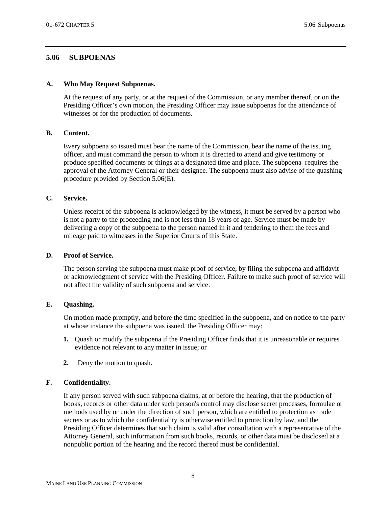#### <span id="page-11-0"></span>**5.06 SUBPOENAS**

#### <span id="page-11-1"></span>**A. Who May Request Subpoenas.**

At the request of any party, or at the request of the Commission, or any member thereof, or on the Presiding Officer's own motion, the Presiding Officer may issue subpoenas for the attendance of witnesses or for the production of documents.

#### <span id="page-11-2"></span>**B. Content.**

Every subpoena so issued must bear the name of the Commission, bear the name of the issuing officer, and must command the person to whom it is directed to attend and give testimony or produce specified documents or things at a designated time and place. The subpoena requires the approval of the Attorney General or their designee. The subpoena must also advise of the quashing procedure provided by Section 5.06(E).

#### <span id="page-11-3"></span>**C. Service.**

Unless receipt of the subpoena is acknowledged by the witness, it must be served by a person who is not a party to the proceeding and is not less than 18 years of age. Service must be made by delivering a copy of the subpoena to the person named in it and tendering to them the fees and mileage paid to witnesses in the Superior Courts of this State.

#### <span id="page-11-4"></span>**D. Proof of Service.**

The person serving the subpoena must make proof of service, by filing the subpoena and affidavit or acknowledgment of service with the Presiding Officer. Failure to make such proof of service will not affect the validity of such subpoena and service.

#### <span id="page-11-5"></span>**E. Quashing.**

On motion made promptly, and before the time specified in the subpoena, and on notice to the party at whose instance the subpoena was issued, the Presiding Officer may:

- **1.** Quash or modify the subpoena if the Presiding Officer finds that it is unreasonable or requires evidence not relevant to any matter in issue; or
- **2.** Deny the motion to quash.

#### <span id="page-11-6"></span>**F. Confidentiality.**

If any person served with such subpoena claims, at or before the hearing, that the production of books, records or other data under such person's control may disclose secret processes, formulae or methods used by or under the direction of such person, which are entitled to protection as trade secrets or as to which the confidentiality is otherwise entitled to protection by law, and the Presiding Officer determines that such claim is valid after consultation with a representative of the Attorney General, such information from such books, records, or other data must be disclosed at a nonpublic portion of the hearing and the record thereof must be confidential.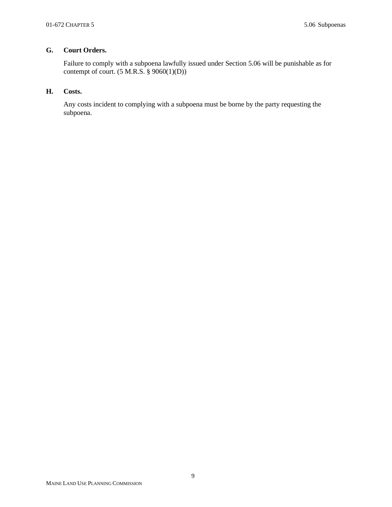#### <span id="page-12-0"></span>**G. Court Orders.**

Failure to comply with a subpoena lawfully issued under Section 5.06 will be punishable as for contempt of court.  $(5 M.R.S. § 9060(1)(D))$  $(5 M.R.S. § 9060(1)(D))$ 

#### <span id="page-12-1"></span>**H. Costs.**

Any costs incident to complying with a subpoena must be borne by the party requesting the subpoena.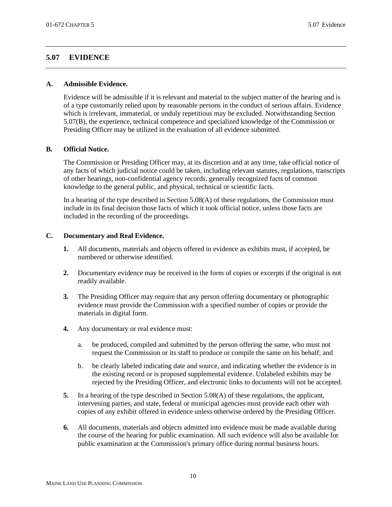#### <span id="page-13-4"></span><span id="page-13-0"></span>**5.07 EVIDENCE**

#### <span id="page-13-1"></span>**A. Admissible Evidence.**

Evidence will be admissible if it is relevant and material to the subject matter of the hearing and is of a type customarily relied upon by reasonable persons in the conduct of serious affairs. Evidence which is irrelevant, immaterial, or unduly repetitious may be excluded. Notwithstanding Section 5.07(B), the experience, technical competence and specialized knowledge of the Commission or Presiding Officer may be utilized in the evaluation of all evidence submitted.

#### <span id="page-13-2"></span>**B. Official Notice.**

The Commission or Presiding Officer may, at its discretion and at any time, take official notice of any facts of which judicial notice could be taken, including relevant statutes, regulations, transcripts of other hearings, non-confidential agency records, generally recognized facts of common knowledge to the general public, and physical, technical or scientific facts.

In a hearing of the type described in Section 5.08(A) of these regulations, the Commission must include in its final decision those facts of which it took official notice, unless those facts are included in the recording of the proceedings.

#### <span id="page-13-3"></span>**C. Documentary and Real Evidence.**

- **1.** All documents, materials and objects offered in evidence as exhibits must, if accepted, be numbered or otherwise identified.
- **2.** Documentary evidence may be received in the form of copies or excerpts if the original is not readily available.
- **3.** The Presiding Officer may require that any person offering documentary or photographic evidence must provide the Commission with a specified number of copies or provide the materials in digital form.
- **4.** Any documentary or real evidence must:
	- a. be produced, compiled and submitted by the person offering the same, who must not request the Commission or its staff to produce or compile the same on his behalf; and
	- b. be clearly labeled indicating date and source, and indicating whether the evidence is in the existing record or is proposed supplemental evidence. Unlabeled exhibits may be rejected by the Presiding Officer, and electronic links to documents will not be accepted.
- **5.** In a hearing of the type described in Section 5.08(A) of these regulations, the applicant, intervening parties, and state, federal or municipal agencies must provide each other with copies of any exhibit offered in evidence unless otherwise ordered by the Presiding Officer.
- **6.** All documents, materials and objects admitted into evidence must be made available during the course of the hearing for public examination. All such evidence will also be available for public examination at the Commission's primary office during normal business hours.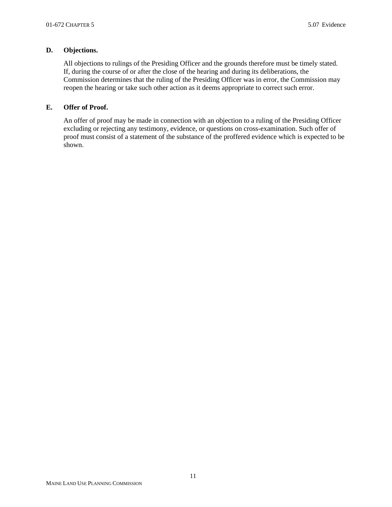#### <span id="page-14-0"></span>**D. Objections.**

All objections to rulings of the Presiding Officer and the grounds therefore must be timely stated. If, during the course of or after the close of the hearing and during its deliberations, the Commission determines that the ruling of the Presiding Officer was in error, the Commission may reopen the hearing or take such other action as it deems appropriate to correct such error.

#### <span id="page-14-1"></span>**E. Offer of Proof.**

An offer of proof may be made in connection with an objection to a ruling of the Presiding Officer excluding or rejecting any testimony, evidence, or questions on cross-examination. Such offer of proof must consist of a statement of the substance of the proffered evidence which is expected to be shown.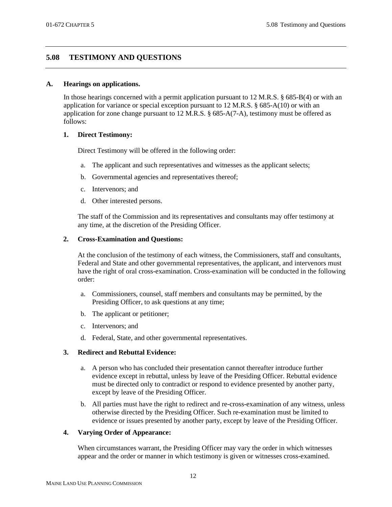#### <span id="page-15-0"></span>**5.08 TESTIMONY AND QUESTIONS**

#### <span id="page-15-1"></span>**A. Hearings on applications.**

In those hearings concerned with a permit application pursuant to [12 M.R.S. § 685-B\(4\) o](http://www.mainelegislature.org/legis/statutes/12/title12sec685-B.html)r with an application for variance or special exception pursuant to 12 M.R.S. § 685-A(10) or with an application for zone change pursuant to 12 M.R.S.  $\S$  685-A(7-A), testimony must be offered as follows:

#### **1. Direct Testimony:**

Direct Testimony will be offered in the following order:

- a. The applicant and such representatives and witnesses as the applicant selects;
- b. Governmental agencies and representatives thereof;
- c. Intervenors; and
- d. Other interested persons.

The staff of the Commission and its representatives and consultants may offer testimony at any time, at the discretion of the Presiding Officer.

#### **2. Cross-Examination and Questions:**

At the conclusion of the testimony of each witness, the Commissioners, staff and consultants, Federal and State and other governmental representatives, the applicant, and intervenors must have the right of oral cross-examination. Cross-examination will be conducted in the following order:

- a. Commissioners, counsel, staff members and consultants may be permitted, by the Presiding Officer, to ask questions at any time;
- b. The applicant or petitioner;
- c. Intervenors; and
- d. Federal, State, and other governmental representatives.

#### **3. Redirect and Rebuttal Evidence:**

- a. A person who has concluded their presentation cannot thereafter introduce further evidence except in rebuttal, unless by leave of the Presiding Officer. Rebuttal evidence must be directed only to contradict or respond to evidence presented by another party, except by leave of the Presiding Officer.
- b. All parties must have the right to redirect and re-cross-examination of any witness, unless otherwise directed by the Presiding Officer. Such re-examination must be limited to evidence or issues presented by another party, except by leave of the Presiding Officer.

#### **4. Varying Order of Appearance:**

When circumstances warrant, the Presiding Officer may vary the order in which witnesses appear and the order or manner in which testimony is given or witnesses cross-examined.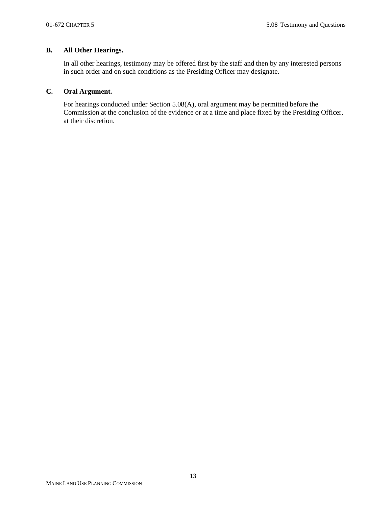#### <span id="page-16-0"></span>**B. All Other Hearings.**

In all other hearings, testimony may be offered first by the staff and then by any interested persons in such order and on such conditions as the Presiding Officer may designate.

#### <span id="page-16-1"></span>**C. Oral Argument.**

For hearings conducted under Section 5.08(A), oral argument may be permitted before the Commission at the conclusion of the evidence or at a time and place fixed by the Presiding Officer, at their discretion.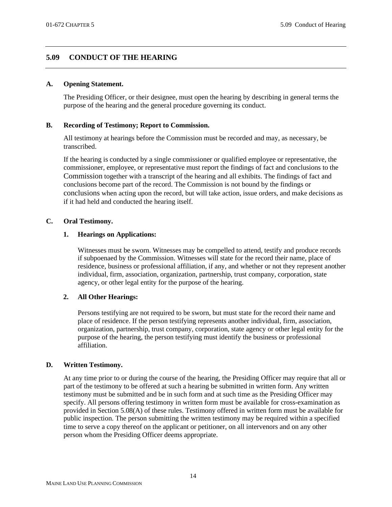#### <span id="page-17-0"></span>**5.09 CONDUCT OF THE HEARING**

#### <span id="page-17-1"></span>**A. Opening Statement.**

The Presiding Officer, or their designee, must open the hearing by describing in general terms the purpose of the hearing and the general procedure governing its conduct.

#### <span id="page-17-2"></span>**B. Recording of Testimony; Report to Commission.**

All testimony at hearings before the Commission must be recorded and may, as necessary, be transcribed.

If the hearing is conducted by a single commissioner or qualified employee or representative, the commissioner, employee, or representative must report the findings of fact and conclusions to the Commission together with a transcript of the hearing and all exhibits. The findings of fact and conclusions become part of the record. The Commission is not bound by the findings or conclusions when acting upon the record, but will take action, issue orders, and make decisions as if it had held and conducted the hearing itself.

#### <span id="page-17-3"></span>**C. Oral Testimony.**

#### **1. Hearings on Applications:**

Witnesses must be sworn. Witnesses may be compelled to attend, testify and produce records if subpoenaed by the Commission. Witnesses will state for the record their name, place of residence, business or professional affiliation, if any, and whether or not they represent another individual, firm, association, organization, partnership, trust company, corporation, state agency, or other legal entity for the purpose of the hearing.

#### **2. All Other Hearings:**

Persons testifying are not required to be sworn, but must state for the record their name and place of residence. If the person testifying represents another individual, firm, association, organization, partnership, trust company, corporation, state agency or other legal entity for the purpose of the hearing, the person testifying must identify the business or professional affiliation.

#### <span id="page-17-4"></span>**D. Written Testimony.**

At any time prior to or during the course of the hearing, the Presiding Officer may require that all or part of the testimony to be offered at such a hearing be submitted in written form. Any written testimony must be submitted and be in such form and at such time as the Presiding Officer may specify. All persons offering testimony in written form must be available for cross-examination as provided in Section 5.08(A) of these rules. Testimony offered in written form must be available for public inspection. The person submitting the written testimony may be required within a specified time to serve a copy thereof on the applicant or petitioner, on all intervenors and on any other person whom the Presiding Officer deems appropriate.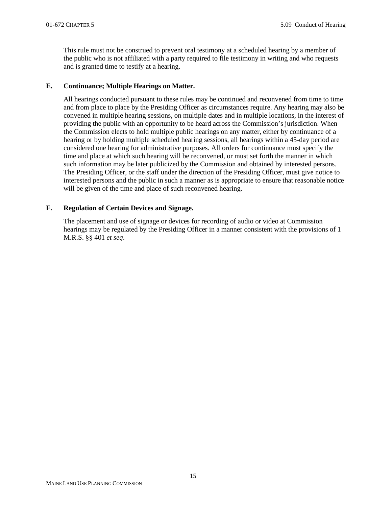This rule must not be construed to prevent oral testimony at a scheduled hearing by a member of the public who is not affiliated with a party required to file testimony in writing and who requests and is granted time to testify at a hearing.

#### <span id="page-18-0"></span>**E. Continuance; Multiple Hearings on Matter.**

All hearings conducted pursuant to these rules may be continued and reconvened from time to time and from place to place by the Presiding Officer as circumstances require. Any hearing may also be convened in multiple hearing sessions, on multiple dates and in multiple locations, in the interest of providing the public with an opportunity to be heard across the Commission's jurisdiction. When the Commission elects to hold multiple public hearings on any matter, either by continuance of a hearing or by holding multiple scheduled hearing sessions, all hearings within a 45-day period are considered one hearing for administrative purposes. All orders for continuance must specify the time and place at which such hearing will be reconvened, or must set forth the manner in which such information may be later publicized by the Commission and obtained by interested persons. The Presiding Officer, or the staff under the direction of the Presiding Officer, must give notice to interested persons and the public in such a manner as is appropriate to ensure that reasonable notice will be given of the time and place of such reconvened hearing.

#### <span id="page-18-1"></span>**F. Regulation of Certain Devices and Signage.**

The placement and use of signage or devices for recording of audio or video at Commission hearings may be regulated by the Presiding Officer in a manner consistent with the provisions of 1 [M.R.S. §§ 401](http://www.mainelegislature.org/legis/statutes/1/title1ch13sec0.html) *et seq*.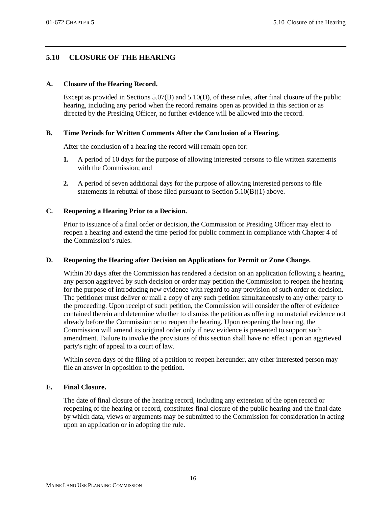### <span id="page-19-6"></span><span id="page-19-0"></span>**5.10 CLOSURE OF THE HEARING**

#### <span id="page-19-1"></span>**A. Closure of the Hearing Record.**

Except as provided in Sections [5.07\(B\) a](#page-13-4)nd 5.10(D), of these rules, after final closure of the public hearing, including any period when the record remains open as provided in this section or as directed by the Presiding Officer, no further evidence will be allowed into the record.

#### <span id="page-19-2"></span>**B. Time Periods for Written Comments After the Conclusion of a Hearing.**

After the conclusion of a hearing the record will remain open for:

- **1.** A period of 10 days for the purpose of allowing interested persons to file written statements with the Commission; and
- **2.** A period of seven additional days for the purpose of allowing interested persons to file statements in rebuttal of those filed pursuant to Section 5.10(B)(1) above.

#### <span id="page-19-3"></span>**C. Reopening a Hearing Prior to a Decision.**

Prior to issuance of a final order or decision, the Commission or Presiding Officer may elect to [reopen a hearing and extend the time period for public comment in compliance with Chapter 4 of](https://www.maine.gov/dacf/lupc/laws_rules/rule_chapters/Ch4_ver2021_November1.pdf) the Commission's rules.

#### <span id="page-19-4"></span>**D. Reopening the Hearing after Decision on Applications for Permit or Zone Change.**

Within 30 days after the Commission has rendered a decision on an application following a hearing, any person aggrieved by such decision or order may petition the Commission to reopen the hearing for the purpose of introducing new evidence with regard to any provision of such order or decision. The petitioner must deliver or mail a copy of any such petition simultaneously to any other party to the proceeding. Upon receipt of such petition, the Commission will consider the offer of evidence contained therein and determine whether to dismiss the petition as offering no material evidence not already before the Commission or to reopen the hearing. Upon reopening the hearing, the Commission will amend its original order only if new evidence is presented to support such amendment. Failure to invoke the provisions of this section shall have no effect upon an aggrieved party's right of appeal to a court of law.

Within seven days of the filing of a petition to reopen hereunder, any other interested person may file an answer in opposition to the petition.

#### <span id="page-19-5"></span>**E. Final Closure.**

The date of final closure of the hearing record, including any extension of the open record or reopening of the hearing or record, constitutes final closure of the public hearing and the final date by which data, views or arguments may be submitted to the Commission for consideration in acting upon an application or in adopting the rule.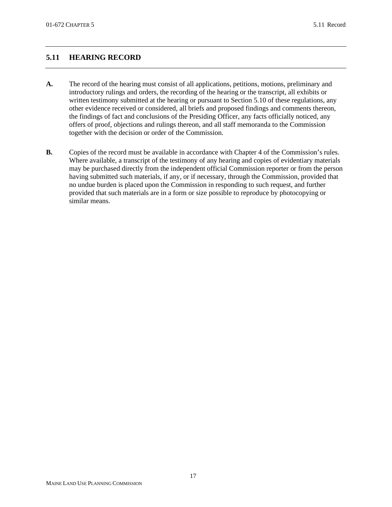## <span id="page-20-0"></span>**5.11 HEARING RECORD**

- **A.** The record of the hearing must consist of all applications, petitions, motions, preliminary and introductory rulings and orders, the recording of the hearing or the transcript, all exhibits or written testimony submitted at the hearing or pursuant to [Section 5.10](#page-19-6) of these regulations, any other evidence received or considered, all briefs and proposed findings and comments thereon, the findings of fact and conclusions of the Presiding Officer, any facts officially noticed, any offers of proof, objections and rulings thereon, and all staff memoranda to the Commission together with the decision or order of the Commission.
- **B.** Copies of the record must be available in accordance with [Chapter 4](https://www.maine.gov/dacf/lupc/laws_rules/rule_chapters/Ch4_ver20221_November1.pdf) of the Commission's rules. Where available, a transcript of the testimony of any hearing and copies of evidentiary materials may be purchased directly from the independent official Commission reporter or from the person having submitted such materials, if any, or if necessary, through the Commission, provided that no undue burden is placed upon the Commission in responding to such request, and further provided that such materials are in a form or size possible to reproduce by photocopying or similar means.